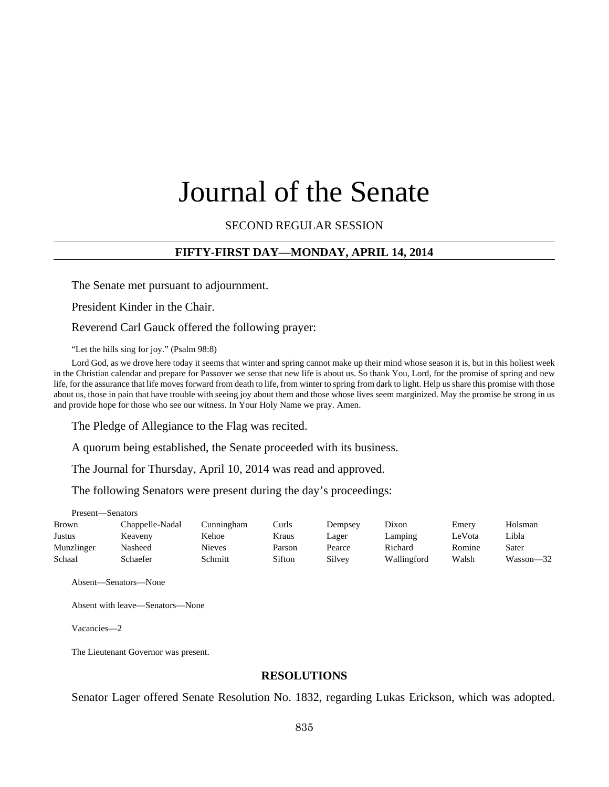# Journal of the Senate

## SECOND REGULAR SESSION

## **FIFTY-FIRST DAY—MONDAY, APRIL 14, 2014**

The Senate met pursuant to adjournment.

President Kinder in the Chair.

Reverend Carl Gauck offered the following prayer:

"Let the hills sing for joy." (Psalm 98:8)

Lord God, as we drove here today it seems that winter and spring cannot make up their mind whose season it is, but in this holiest week in the Christian calendar and prepare for Passover we sense that new life is about us. So thank You, Lord, for the promise of spring and new life, for the assurance that life moves forward from death to life, from winter to spring from dark to light. Help us share this promise with those about us, those in pain that have trouble with seeing joy about them and those whose lives seem marginized. May the promise be strong in us and provide hope for those who see our witness. In Your Holy Name we pray. Amen.

The Pledge of Allegiance to the Flag was recited.

A quorum being established, the Senate proceeded with its business.

The Journal for Thursday, April 10, 2014 was read and approved.

The following Senators were present during the day's proceedings:

Present—Senators

| Brown      | Chappelle-Nadal | Cunningham    | Curls  | Dempsey | Dixon       | Emery  | <b>Holsman</b> |
|------------|-----------------|---------------|--------|---------|-------------|--------|----------------|
| Justus     | Keaveny         | Kehoe         | Kraus  | Lager   | Lamping     | LeVota | Libla          |
| Munzlinger | Nasheed         | <b>Nieves</b> | Parson | Pearce  | Richard     | Romine | Sater          |
| Schaaf     | Schaefer        | Schmitt       | Sifton | Silvey  | Wallingford | Walsh  | $Wasson - 32$  |

Absent—Senators—None

Absent with leave—Senators—None

Vacancies—2

The Lieutenant Governor was present.

#### **RESOLUTIONS**

Senator Lager offered Senate Resolution No. 1832, regarding Lukas Erickson, which was adopted.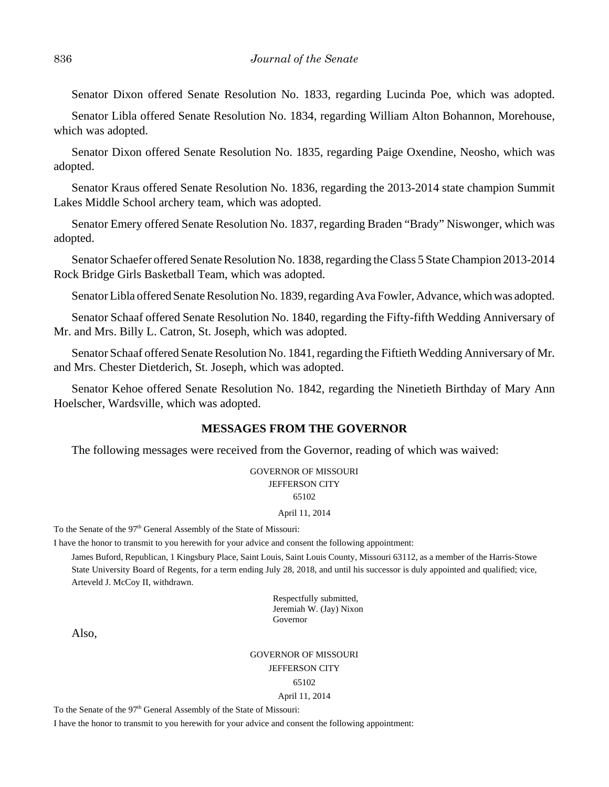Senator Dixon offered Senate Resolution No. 1833, regarding Lucinda Poe, which was adopted.

Senator Libla offered Senate Resolution No. 1834, regarding William Alton Bohannon, Morehouse, which was adopted.

Senator Dixon offered Senate Resolution No. 1835, regarding Paige Oxendine, Neosho, which was adopted.

Senator Kraus offered Senate Resolution No. 1836, regarding the 2013-2014 state champion Summit Lakes Middle School archery team, which was adopted.

Senator Emery offered Senate Resolution No. 1837, regarding Braden "Brady" Niswonger, which was adopted.

Senator Schaefer offered Senate Resolution No. 1838, regarding the Class 5 State Champion 2013-2014 Rock Bridge Girls Basketball Team, which was adopted.

Senator Libla offered Senate Resolution No. 1839, regarding Ava Fowler, Advance, which was adopted.

Senator Schaaf offered Senate Resolution No. 1840, regarding the Fifty-fifth Wedding Anniversary of Mr. and Mrs. Billy L. Catron, St. Joseph, which was adopted.

Senator Schaaf offered Senate Resolution No. 1841, regarding the Fiftieth Wedding Anniversary of Mr. and Mrs. Chester Dietderich, St. Joseph, which was adopted.

Senator Kehoe offered Senate Resolution No. 1842, regarding the Ninetieth Birthday of Mary Ann Hoelscher, Wardsville, which was adopted.

#### **MESSAGES FROM THE GOVERNOR**

The following messages were received from the Governor, reading of which was waived:

GOVERNOR OF MISSOURI JEFFERSON CITY 65102

#### April 11, 2014

To the Senate of the 97<sup>th</sup> General Assembly of the State of Missouri:

I have the honor to transmit to you herewith for your advice and consent the following appointment:

James Buford, Republican, 1 Kingsbury Place, Saint Louis, Saint Louis County, Missouri 63112, as a member of the Harris-Stowe State University Board of Regents, for a term ending July 28, 2018, and until his successor is duly appointed and qualified; vice, Arteveld J. McCoy II, withdrawn.

> Respectfully submitted, Jeremiah W. (Jay) Nixon Governor

Also,

GOVERNOR OF MISSOURI JEFFERSON CITY 65102 April 11, 2014

To the Senate of the 97<sup>th</sup> General Assembly of the State of Missouri:

I have the honor to transmit to you herewith for your advice and consent the following appointment: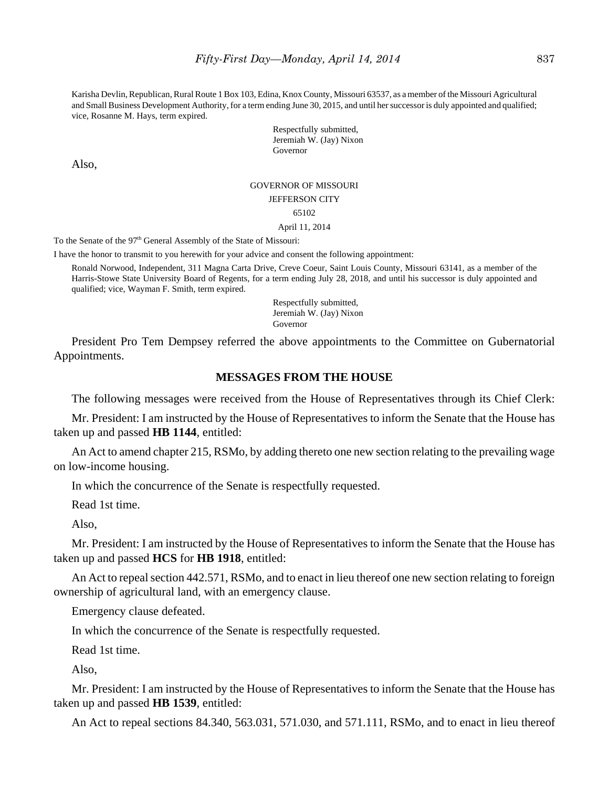Karisha Devlin, Republican, Rural Route 1 Box 103, Edina, Knox County, Missouri 63537, as a member of the Missouri Agricultural and Small Business Development Authority, for a term ending June 30, 2015, and until her successor is duly appointed and qualified; vice, Rosanne M. Hays, term expired.

> Respectfully submitted, Jeremiah W. (Jay) Nixon Governor

Also,

#### GOVERNOR OF MISSOURI

JEFFERSON CITY

#### 65102

April 11, 2014

To the Senate of the 97<sup>th</sup> General Assembly of the State of Missouri:

I have the honor to transmit to you herewith for your advice and consent the following appointment:

Ronald Norwood, Independent, 311 Magna Carta Drive, Creve Coeur, Saint Louis County, Missouri 63141, as a member of the Harris-Stowe State University Board of Regents, for a term ending July 28, 2018, and until his successor is duly appointed and qualified; vice, Wayman F. Smith, term expired.

> Respectfully submitted, Jeremiah W. (Jay) Nixon Governor

President Pro Tem Dempsey referred the above appointments to the Committee on Gubernatorial Appointments.

## **MESSAGES FROM THE HOUSE**

The following messages were received from the House of Representatives through its Chief Clerk:

Mr. President: I am instructed by the House of Representatives to inform the Senate that the House has taken up and passed **HB 1144**, entitled:

An Act to amend chapter 215, RSMo, by adding thereto one new section relating to the prevailing wage on low-income housing.

In which the concurrence of the Senate is respectfully requested.

Read 1st time.

Also,

Mr. President: I am instructed by the House of Representatives to inform the Senate that the House has taken up and passed **HCS** for **HB 1918**, entitled:

An Act to repeal section 442.571, RSMo, and to enact in lieu thereof one new section relating to foreign ownership of agricultural land, with an emergency clause.

Emergency clause defeated.

In which the concurrence of the Senate is respectfully requested.

Read 1st time.

Also,

Mr. President: I am instructed by the House of Representatives to inform the Senate that the House has taken up and passed **HB 1539**, entitled:

An Act to repeal sections 84.340, 563.031, 571.030, and 571.111, RSMo, and to enact in lieu thereof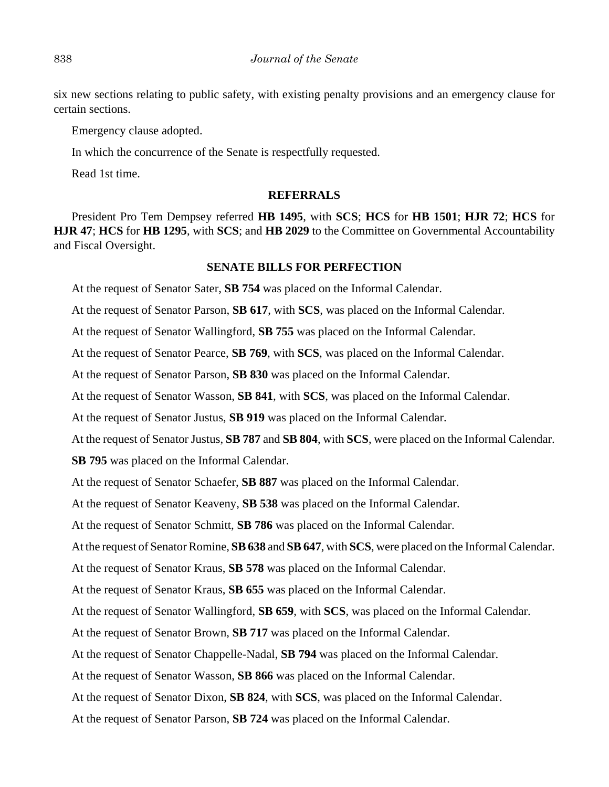six new sections relating to public safety, with existing penalty provisions and an emergency clause for certain sections.

Emergency clause adopted.

In which the concurrence of the Senate is respectfully requested.

Read 1st time.

## **REFERRALS**

President Pro Tem Dempsey referred **HB 1495**, with **SCS**; **HCS** for **HB 1501**; **HJR 72**; **HCS** for **HJR 47**; **HCS** for **HB 1295**, with **SCS**; and **HB 2029** to the Committee on Governmental Accountability and Fiscal Oversight.

## **SENATE BILLS FOR PERFECTION**

At the request of Senator Sater, **SB 754** was placed on the Informal Calendar.

At the request of Senator Parson, **SB 617**, with **SCS**, was placed on the Informal Calendar.

At the request of Senator Wallingford, **SB 755** was placed on the Informal Calendar.

At the request of Senator Pearce, **SB 769**, with **SCS**, was placed on the Informal Calendar.

At the request of Senator Parson, **SB 830** was placed on the Informal Calendar.

At the request of Senator Wasson, **SB 841**, with **SCS**, was placed on the Informal Calendar.

At the request of Senator Justus, **SB 919** was placed on the Informal Calendar.

At the request of Senator Justus, **SB 787** and **SB 804**, with **SCS**, were placed on the Informal Calendar.

**SB 795** was placed on the Informal Calendar.

At the request of Senator Schaefer, **SB 887** was placed on the Informal Calendar.

At the request of Senator Keaveny, **SB 538** was placed on the Informal Calendar.

At the request of Senator Schmitt, **SB 786** was placed on the Informal Calendar.

At the request of Senator Romine, **SB 638** and **SB 647**, with **SCS**, were placed on the Informal Calendar.

At the request of Senator Kraus, **SB 578** was placed on the Informal Calendar.

At the request of Senator Kraus, **SB 655** was placed on the Informal Calendar.

At the request of Senator Wallingford, **SB 659**, with **SCS**, was placed on the Informal Calendar.

At the request of Senator Brown, **SB 717** was placed on the Informal Calendar.

At the request of Senator Chappelle-Nadal, **SB 794** was placed on the Informal Calendar.

At the request of Senator Wasson, **SB 866** was placed on the Informal Calendar.

At the request of Senator Dixon, **SB 824**, with **SCS**, was placed on the Informal Calendar.

At the request of Senator Parson, **SB 724** was placed on the Informal Calendar.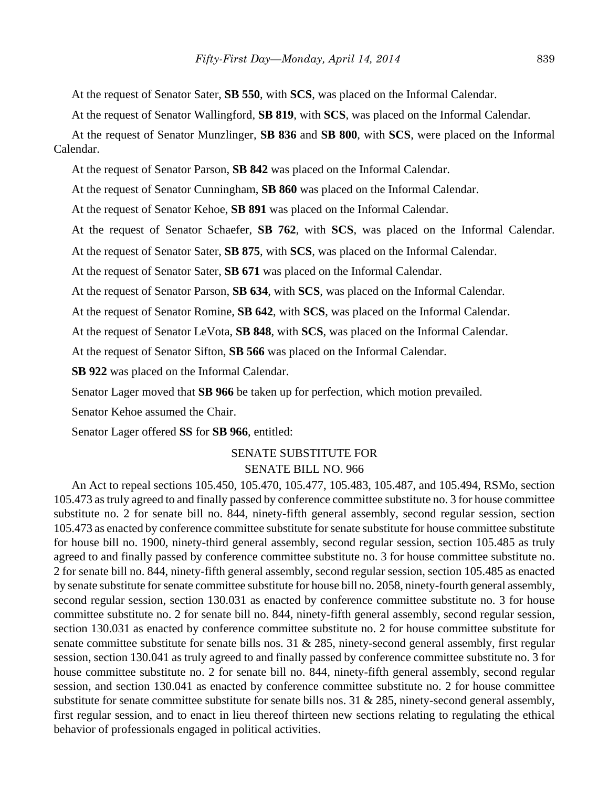At the request of Senator Sater, **SB 550**, with **SCS**, was placed on the Informal Calendar.

At the request of Senator Wallingford, **SB 819**, with **SCS**, was placed on the Informal Calendar.

At the request of Senator Munzlinger, **SB 836** and **SB 800**, with **SCS**, were placed on the Informal Calendar.

At the request of Senator Parson, **SB 842** was placed on the Informal Calendar.

At the request of Senator Cunningham, **SB 860** was placed on the Informal Calendar.

At the request of Senator Kehoe, **SB 891** was placed on the Informal Calendar.

At the request of Senator Schaefer, **SB 762**, with **SCS**, was placed on the Informal Calendar.

At the request of Senator Sater, **SB 875**, with **SCS**, was placed on the Informal Calendar.

At the request of Senator Sater, **SB 671** was placed on the Informal Calendar.

At the request of Senator Parson, **SB 634**, with **SCS**, was placed on the Informal Calendar.

At the request of Senator Romine, **SB 642**, with **SCS**, was placed on the Informal Calendar.

At the request of Senator LeVota, **SB 848**, with **SCS**, was placed on the Informal Calendar.

At the request of Senator Sifton, **SB 566** was placed on the Informal Calendar.

**SB 922** was placed on the Informal Calendar.

Senator Lager moved that **SB 966** be taken up for perfection, which motion prevailed.

Senator Kehoe assumed the Chair.

Senator Lager offered **SS** for **SB 966**, entitled:

## SENATE SUBSTITUTE FOR SENATE BILL NO. 966

An Act to repeal sections 105.450, 105.470, 105.477, 105.483, 105.487, and 105.494, RSMo, section 105.473 as truly agreed to and finally passed by conference committee substitute no. 3 for house committee substitute no. 2 for senate bill no. 844, ninety-fifth general assembly, second regular session, section 105.473 as enacted by conference committee substitute for senate substitute for house committee substitute for house bill no. 1900, ninety-third general assembly, second regular session, section 105.485 as truly agreed to and finally passed by conference committee substitute no. 3 for house committee substitute no. 2 for senate bill no. 844, ninety-fifth general assembly, second regular session, section 105.485 as enacted by senate substitute for senate committee substitute for house bill no. 2058, ninety-fourth general assembly, second regular session, section 130.031 as enacted by conference committee substitute no. 3 for house committee substitute no. 2 for senate bill no. 844, ninety-fifth general assembly, second regular session, section 130.031 as enacted by conference committee substitute no. 2 for house committee substitute for senate committee substitute for senate bills nos. 31 & 285, ninety-second general assembly, first regular session, section 130.041 as truly agreed to and finally passed by conference committee substitute no. 3 for house committee substitute no. 2 for senate bill no. 844, ninety-fifth general assembly, second regular session, and section 130.041 as enacted by conference committee substitute no. 2 for house committee substitute for senate committee substitute for senate bills nos. 31 & 285, ninety-second general assembly, first regular session, and to enact in lieu thereof thirteen new sections relating to regulating the ethical behavior of professionals engaged in political activities.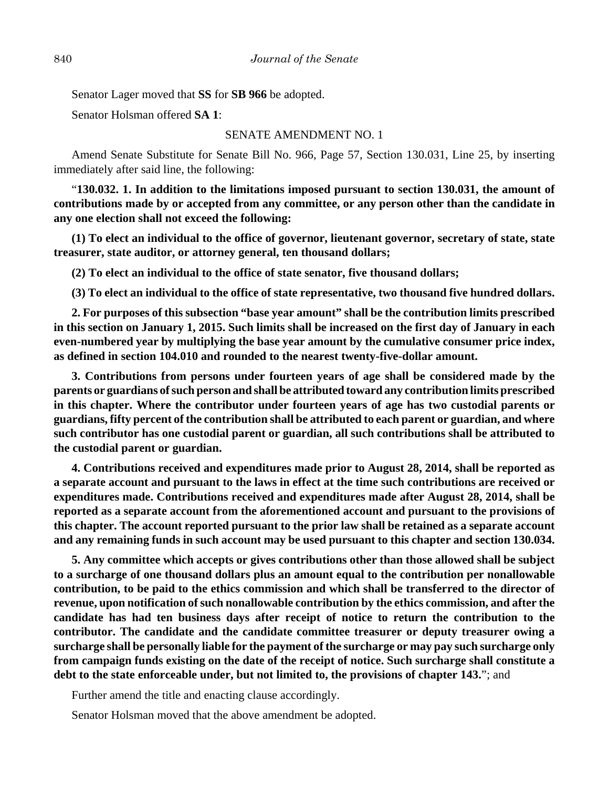Senator Lager moved that **SS** for **SB 966** be adopted.

Senator Holsman offered **SA 1**:

#### SENATE AMENDMENT NO. 1

Amend Senate Substitute for Senate Bill No. 966, Page 57, Section 130.031, Line 25, by inserting immediately after said line, the following:

"**130.032. 1. In addition to the limitations imposed pursuant to section 130.031, the amount of contributions made by or accepted from any committee, or any person other than the candidate in any one election shall not exceed the following:**

**(1) To elect an individual to the office of governor, lieutenant governor, secretary of state, state treasurer, state auditor, or attorney general, ten thousand dollars;**

**(2) To elect an individual to the office of state senator, five thousand dollars;**

**(3) To elect an individual to the office of state representative, two thousand five hundred dollars.**

**2. For purposes of this subsection "base year amount" shall be the contribution limits prescribed in this section on January 1, 2015. Such limits shall be increased on the first day of January in each even-numbered year by multiplying the base year amount by the cumulative consumer price index, as defined in section 104.010 and rounded to the nearest twenty-five-dollar amount.**

**3. Contributions from persons under fourteen years of age shall be considered made by the parents or guardians of such person and shall be attributed toward any contribution limits prescribed in this chapter. Where the contributor under fourteen years of age has two custodial parents or guardians, fifty percent of the contribution shall be attributed to each parent or guardian, and where such contributor has one custodial parent or guardian, all such contributions shall be attributed to the custodial parent or guardian.**

**4. Contributions received and expenditures made prior to August 28, 2014, shall be reported as a separate account and pursuant to the laws in effect at the time such contributions are received or expenditures made. Contributions received and expenditures made after August 28, 2014, shall be reported as a separate account from the aforementioned account and pursuant to the provisions of this chapter. The account reported pursuant to the prior law shall be retained as a separate account and any remaining funds in such account may be used pursuant to this chapter and section 130.034.**

**5. Any committee which accepts or gives contributions other than those allowed shall be subject to a surcharge of one thousand dollars plus an amount equal to the contribution per nonallowable contribution, to be paid to the ethics commission and which shall be transferred to the director of revenue, upon notification of such nonallowable contribution by the ethics commission, and after the candidate has had ten business days after receipt of notice to return the contribution to the contributor. The candidate and the candidate committee treasurer or deputy treasurer owing a surcharge shall be personally liable for the payment of the surcharge or may pay such surcharge only from campaign funds existing on the date of the receipt of notice. Such surcharge shall constitute a debt to the state enforceable under, but not limited to, the provisions of chapter 143.**"; and

Further amend the title and enacting clause accordingly.

Senator Holsman moved that the above amendment be adopted.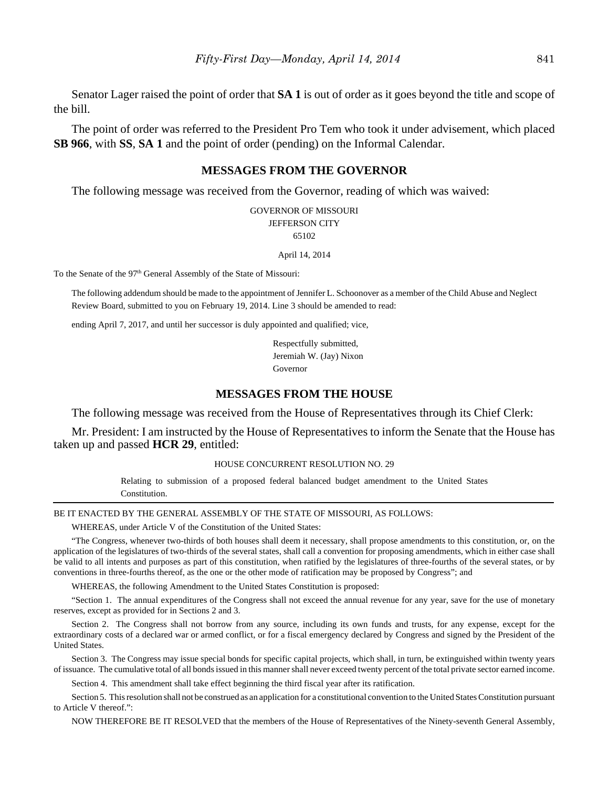Senator Lager raised the point of order that **SA 1** is out of order as it goes beyond the title and scope of the bill.

The point of order was referred to the President Pro Tem who took it under advisement, which placed **SB 966**, with **SS**, **SA 1** and the point of order (pending) on the Informal Calendar.

#### **MESSAGES FROM THE GOVERNOR**

The following message was received from the Governor, reading of which was waived:

GOVERNOR OF MISSOURI JEFFERSON CITY 65102

April 14, 2014

To the Senate of the 97<sup>th</sup> General Assembly of the State of Missouri:

The following addendum should be made to the appointment of Jennifer L. Schoonover as a member of the Child Abuse and Neglect Review Board, submitted to you on February 19, 2014. Line 3 should be amended to read:

ending April 7, 2017, and until her successor is duly appointed and qualified; vice,

Respectfully submitted, Jeremiah W. (Jay) Nixon Governor

#### **MESSAGES FROM THE HOUSE**

The following message was received from the House of Representatives through its Chief Clerk:

Mr. President: I am instructed by the House of Representatives to inform the Senate that the House has taken up and passed **HCR 29**, entitled:

#### HOUSE CONCURRENT RESOLUTION NO. 29

Relating to submission of a proposed federal balanced budget amendment to the United States Constitution.

#### BE IT ENACTED BY THE GENERAL ASSEMBLY OF THE STATE OF MISSOURI, AS FOLLOWS:

WHEREAS, under Article V of the Constitution of the United States:

"The Congress, whenever two-thirds of both houses shall deem it necessary, shall propose amendments to this constitution, or, on the application of the legislatures of two-thirds of the several states, shall call a convention for proposing amendments, which in either case shall be valid to all intents and purposes as part of this constitution, when ratified by the legislatures of three-fourths of the several states, or by conventions in three-fourths thereof, as the one or the other mode of ratification may be proposed by Congress"; and

WHEREAS, the following Amendment to the United States Constitution is proposed:

"Section 1. The annual expenditures of the Congress shall not exceed the annual revenue for any year, save for the use of monetary reserves, except as provided for in Sections 2 and 3.

Section 2. The Congress shall not borrow from any source, including its own funds and trusts, for any expense, except for the extraordinary costs of a declared war or armed conflict, or for a fiscal emergency declared by Congress and signed by the President of the United States.

Section 3. The Congress may issue special bonds for specific capital projects, which shall, in turn, be extinguished within twenty years of issuance. The cumulative total of all bonds issued in this manner shall never exceed twenty percent of the total private sector earned income.

Section 4. This amendment shall take effect beginning the third fiscal year after its ratification.

Section 5. This resolution shall not be construed as an application for a constitutional convention to the United States Constitution pursuant to Article V thereof.":

NOW THEREFORE BE IT RESOLVED that the members of the House of Representatives of the Ninety-seventh General Assembly,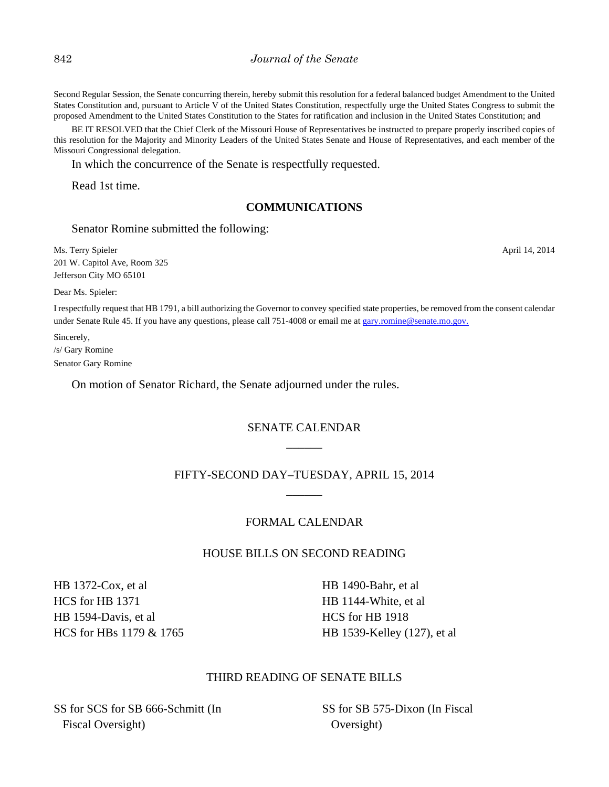#### 842 *Journal of the Senate*

Second Regular Session, the Senate concurring therein, hereby submit this resolution for a federal balanced budget Amendment to the United States Constitution and, pursuant to Article V of the United States Constitution, respectfully urge the United States Congress to submit the proposed Amendment to the United States Constitution to the States for ratification and inclusion in the United States Constitution; and

BE IT RESOLVED that the Chief Clerk of the Missouri House of Representatives be instructed to prepare properly inscribed copies of this resolution for the Majority and Minority Leaders of the United States Senate and House of Representatives, and each member of the Missouri Congressional delegation.

In which the concurrence of the Senate is respectfully requested.

Read 1st time.

#### **COMMUNICATIONS**

#### Senator Romine submitted the following:

Ms. Terry Spieler April 14, 2014 201 W. Capitol Ave, Room 325 Jefferson City MO 65101

Dear Ms. Spieler:

I respectfully request that HB 1791, a bill authorizing the Governor to convey specified state properties, be removed from the consent calendar under Senate Rule 45. If you have any questions, please call 751-4008 or email me at gary.romine@senate.mo.gov.

Sincerely, /s/ Gary Romine Senator Gary Romine

On motion of Senator Richard, the Senate adjourned under the rules.

# SENATE CALENDAR \_\_\_\_\_\_

# FIFTY-SECOND DAY–TUESDAY, APRIL 15, 2014 \_\_\_\_\_\_

#### FORMAL CALENDAR

## HOUSE BILLS ON SECOND READING

HB 1372-Cox, et al HCS for HB 1371 HB 1594-Davis, et al HCS for HBs 1179 & 1765 HB 1490-Bahr, et al HB 1144-White, et al HCS for HB 1918 HB 1539-Kelley (127), et al

#### THIRD READING OF SENATE BILLS

SS for SCS for SB 666-Schmitt (In Fiscal Oversight)

SS for SB 575-Dixon (In Fiscal Oversight)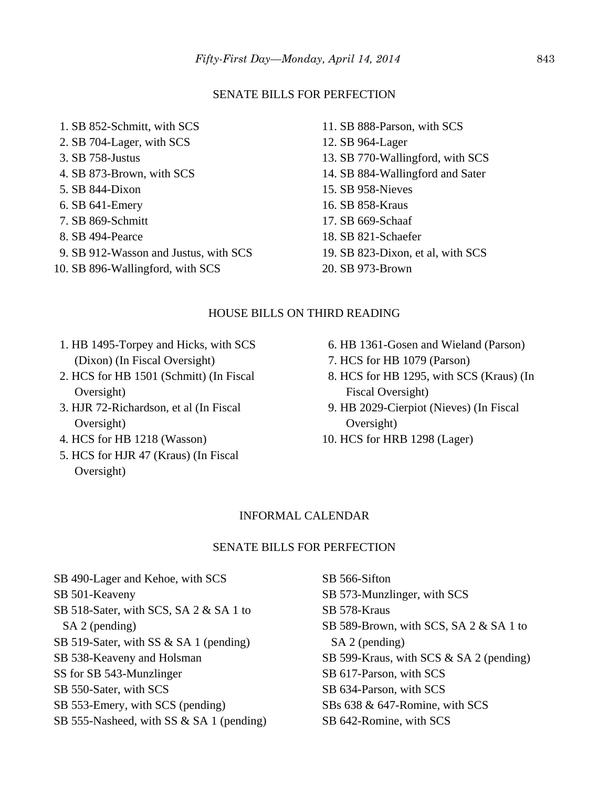#### SENATE BILLS FOR PERFECTION

- 1. SB 852-Schmitt, with SCS 2. SB 704-Lager, with SCS 3. SB 758-Justus 4. SB 873-Brown, with SCS 5. SB 844-Dixon 6. SB 641-Emery 7. SB 869-Schmitt 8. SB 494-Pearce 9. SB 912-Wasson and Justus, with SCS 10. SB 896-Wallingford, with SCS
- 11. SB 888-Parson, with SCS 12. SB 964-Lager 13. SB 770-Wallingford, with SCS 14. SB 884-Wallingford and Sater 15. SB 958-Nieves 16. SB 858-Kraus 17. SB 669-Schaaf 18. SB 821-Schaefer 19. SB 823-Dixon, et al, with SCS
- 20. SB 973-Brown

#### HOUSE BILLS ON THIRD READING

- 1. HB 1495-Torpey and Hicks, with SCS (Dixon) (In Fiscal Oversight)
- 2. HCS for HB 1501 (Schmitt) (In Fiscal Oversight)
- 3. HJR 72-Richardson, et al (In Fiscal Oversight)
- 4. HCS for HB 1218 (Wasson)
- 5. HCS for HJR 47 (Kraus) (In Fiscal Oversight)
- 6. HB 1361-Gosen and Wieland (Parson)
- 7. HCS for HB 1079 (Parson)
- 8. HCS for HB 1295, with SCS (Kraus) (In Fiscal Oversight)
- 9. HB 2029-Cierpiot (Nieves) (In Fiscal Oversight)
- 10. HCS for HRB 1298 (Lager)

#### INFORMAL CALENDAR

#### SENATE BILLS FOR PERFECTION

SB 490-Lager and Kehoe, with SCS SB 501-Keaveny SB 518-Sater, with SCS, SA 2 & SA 1 to SA 2 (pending) SB 519-Sater, with SS & SA 1 (pending) SB 538-Keaveny and Holsman SS for SB 543-Munzlinger SB 550-Sater, with SCS SB 553-Emery, with SCS (pending) SB 555-Nasheed, with SS & SA 1 (pending)

SB 566-Sifton SB 573-Munzlinger, with SCS SB 578-Kraus SB 589-Brown, with SCS, SA 2 & SA 1 to SA 2 (pending) SB 599-Kraus, with SCS & SA 2 (pending) SB 617-Parson, with SCS SB 634-Parson, with SCS SBs 638 & 647-Romine, with SCS SB 642-Romine, with SCS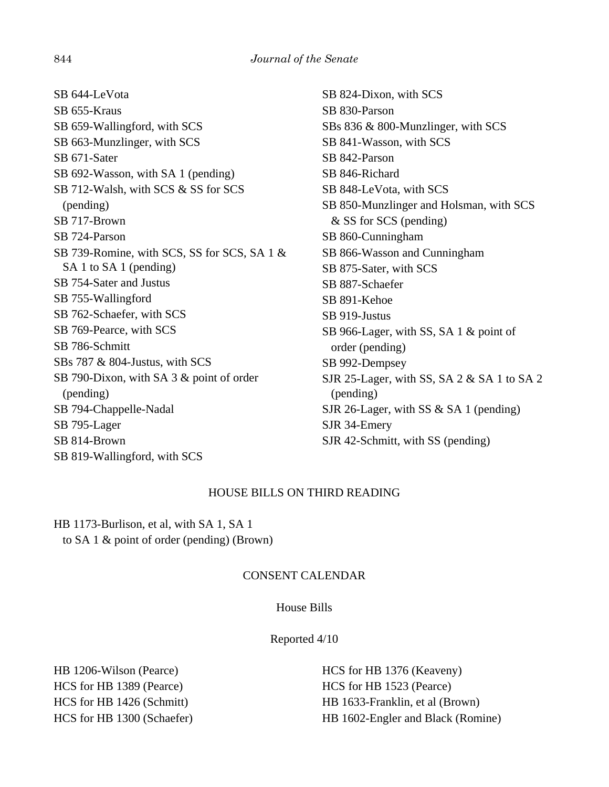SB 644-LeVota SB 655-Kraus SB 659-Wallingford, with SCS SB 663-Munzlinger, with SCS SB 671-Sater SB 692-Wasson, with SA 1 (pending) SB 712-Walsh, with SCS & SS for SCS (pending) SB 717-Brown SB 724-Parson SB 739-Romine, with SCS, SS for SCS, SA 1 & SA 1 to SA 1 (pending) SB 754-Sater and Justus SB 755-Wallingford SB 762-Schaefer, with SCS SB 769-Pearce, with SCS SB 786-Schmitt SBs 787 & 804-Justus, with SCS SB 790-Dixon, with SA 3 & point of order (pending) SB 794-Chappelle-Nadal SB 795-Lager SB 814-Brown SB 819-Wallingford, with SCS

SB 824-Dixon, with SCS SB 830-Parson SBs 836 & 800-Munzlinger, with SCS SB 841-Wasson, with SCS SB 842-Parson SB 846-Richard SB 848-LeVota, with SCS SB 850-Munzlinger and Holsman, with SCS & SS for SCS (pending) SB 860-Cunningham SB 866-Wasson and Cunningham SB 875-Sater, with SCS SB 887-Schaefer SB 891-Kehoe SB 919-Justus SB 966-Lager, with SS, SA 1 & point of order (pending) SB 992-Dempsey SJR 25-Lager, with SS, SA 2 & SA 1 to SA 2 (pending) SJR 26-Lager, with SS & SA 1 (pending) SJR 34-Emery SJR 42-Schmitt, with SS (pending)

# HOUSE BILLS ON THIRD READING

HB 1173-Burlison, et al, with SA 1, SA 1 to SA 1 & point of order (pending) (Brown)

# CONSENT CALENDAR

## House Bills

Reported 4/10

HB 1206-Wilson (Pearce) HCS for HB 1389 (Pearce) HCS for HB 1426 (Schmitt) HCS for HB 1300 (Schaefer)

HCS for HB 1376 (Keaveny) HCS for HB 1523 (Pearce) HB 1633-Franklin, et al (Brown) HB 1602-Engler and Black (Romine)